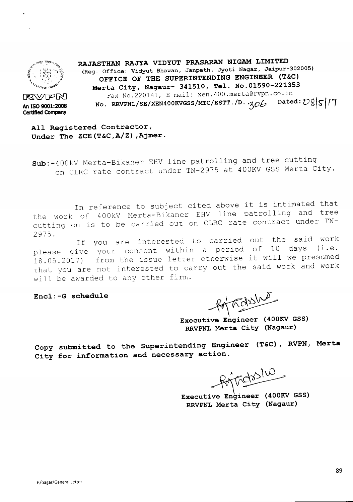

**An ISO 9001:2008 Certified Company**

**RAJASTHAN RAJYA VIDYUT PRASARAN NIGAM LIMITED (Reg. Office: Vidyut Bhawan, Janpath, Jyoti Nagar, Jaipur-302005) OFFICE OF THE SUPERINTENDING ENGINEER (T&C) Merta City, Nagaur- 341510, Tel. No.01590-221353** Fax No.220141, E-mail: xen.400.merta@rvpn.co.in<br>RRVPNL/SE/XEN400KVGSS/MTC/ESTT./D.  $\sim 206$  Dated:  $D8|\mathcal{S}|T$ **RXVPN**<br>**An ISO 9001:2008 Date: Date: Date: Date: Date: Date: Date: Date: Date: Date: Date: Date: Date: Date: Date: Date: Date: Date: Date: Date: Date: Date: Date: Date: Da** 

**All Registered Contractor, Under The ZCE(T&C,A/Z) ,Ajmer.**

Sub:-400kV Merta-Bikaner EHV line patrolling and tree cutting on CLRC rate contract under TN-2975 at 400KV GSS Merta City.

In reference to subject cited above it is intimated that the work of 400kV Merta-Bikaner EHV line patrolling and tree cutting on is to be carried out on CLRC rate contract under TN-2975.

If you are interested to carried out the said work please give your consent within a period of 10 days (i.e. 18.05.2017) from the issue letter otherwise it will we presumed that you are not interested to carry out the said work and work will be awarded to any other firm.

**Encl:-G schedule**

for habshut

**Executive Engineer (400KV GSS) RRVPNL Merta City (Nagaur)**

**Copy submitted to the Superintending Engineer** (T&C), **RVPN, Merta City for information and necessary action.**

Portodoslus

**Executive Engineer (400KV GSS) RRVPNL Merta City (Nagaur)**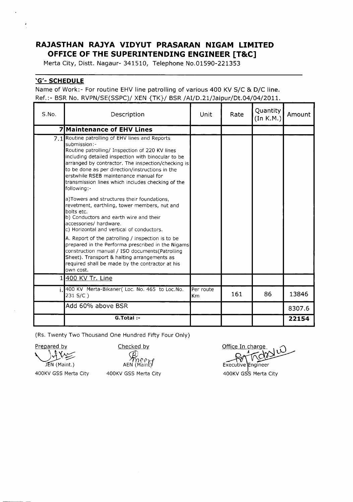## **RAJASTHAN RAJYA VIDYUT PRASARAN NIGAM LIMITED OFFICE OF THE SUPERINTENDING ENGINEER [TaC]**

Merta City, Distt. Nagaur- 341510, Telephone No.01590-221353

## 'G'- **SCHEDULE**

Name of Work:- For routine EHV line patrolling of various 400 KV *SjC* & *DjC* line. Ref.:- BSR No. RVPN/SE(SSPC)/ XEN {TK}/ BSR /AI/D.21/Jaipur/Dt.04/04/2011.

| S.No. | Description                                                                                                                                                                                                                                                                                                                                                                               | Unit                   | Rate | Quantity<br>(In K.M.) | Amount |
|-------|-------------------------------------------------------------------------------------------------------------------------------------------------------------------------------------------------------------------------------------------------------------------------------------------------------------------------------------------------------------------------------------------|------------------------|------|-----------------------|--------|
|       | <b>7 Maintenance of EHV Lines</b>                                                                                                                                                                                                                                                                                                                                                         |                        |      |                       |        |
| 7.1   | Routine patrolling of EHV lines and Reports<br>submission:-<br>Routine patrolling/ Inspection of 220 KV lines<br>including detailed inspection with binocular to be<br>arranged by contractor. The inspection/checking is<br>to be done as per direction/instructions in the<br>erstwhile RSEB maintenance manual for<br>transmission lines which includes checking of the<br>following:- |                        |      |                       |        |
|       | a)Towers and structures their foundations,<br>revetment, earthling, tower members, nut and<br>bolts etc.<br>b) Conductors and earth wire and their<br>accessories/ hardware.<br>c) Horizontal and vertical of conductors.                                                                                                                                                                 |                        |      |                       |        |
|       | A. Report of the patrolling / inspection is to be<br>prepared in the Performa prescribed in the Nigams<br>construction manual / ISO documents (Patrolling<br>Sheet). Transport & halting arrangements as<br>required shall be made by the contractor at his<br>own cost.                                                                                                                  |                        |      |                       |        |
| 1     | 400 KV Tr. Line                                                                                                                                                                                                                                                                                                                                                                           |                        |      |                       |        |
|       | 400 KV Merta-Bikaner(Loc. No. 465 to Loc. No.<br>231 S/C)                                                                                                                                                                                                                                                                                                                                 | Per route<br><b>Km</b> | 161  | 86                    | 13846  |
|       | Add 60% above BSR                                                                                                                                                                                                                                                                                                                                                                         |                        |      |                       | 8307.6 |
|       | G.Total:-                                                                                                                                                                                                                                                                                                                                                                                 |                        |      |                       | 22154  |

(Rs. Twenty Two Thousand One Hundred Fifty Four Only)

Prepared by  $\bigcup_{n \in \mathbb{N}} \bigcup_{n \neq n} \bigcup_{n \neq n}$ 

Checked by

*~et'rf* AEN (Maint)1

Office In charge Ŵ

Executive Engineer 400KV GSS Merta City

JEN (Maint.) 400KV GSS Merta City

400KV GSS Merta City